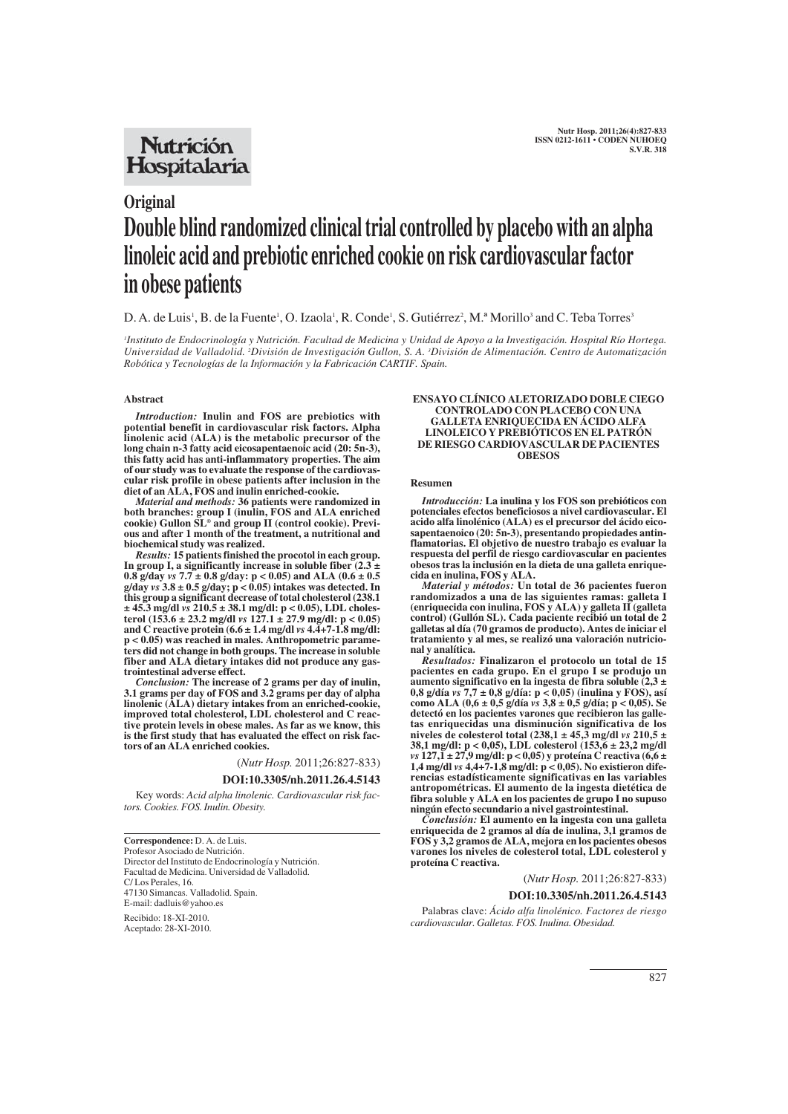## **Nutrición** Hospitalaria

# **Original Double blind randomized clinical trial controlled by placebo with an alpha linoleic acid and prebiotic enriched cookie on risk cardiovascular factor in obese patients**

D. A. de Luis<sup>1</sup>, B. de la Fuente<sup>1</sup>, O. Izaola<sup>1</sup>, R. Conde<sup>1</sup>, S. Gutiérrez<sup>2</sup>, M.ª Morillo<sup>3</sup> and C. Teba Torres<sup>3</sup>

*1 Instituto de Endocrinología y Nutrición. Facultad de Medicina y Unidad de Apoyo a la Investigación. Hospital Río Hortega. Universidad de Valladolid. 2 División de Investigación Gullon, S. A. 3 División de Alimentación. Centro de Automatización Robótica y Tecnologías de la Información y la Fabricación CARTIF. Spain.*

## **Abstract**

*Introduction:* **Inulin and FOS are prebiotics with potential benefit in cardiovascular risk factors. Alpha linolenic acid (ALA) is the metabolic precursor of the long chain n-3 fatty acid eicosapentaenoic acid (20: 5n-3), this fatty acid has anti-inflammatory properties. The aim of our study was to evaluate the response of the cardiovascular risk profile in obese patients after inclusion in the diet of an ALA, FOS and inulin enriched-cookie.**

*Material and methods:* **36 patients were randomized in both branches: group I (inulin, FOS and ALA enriched cookie) Gullon SL® and group II (control cookie). Previous and after 1 month of the treatment, a nutritional and biochemical study was realized.** 

*Results:* **15 patients finished the procotol in each group. In group I, a significantly increase in soluble fiber (2.3 ± 0.8 g/day** *vs* **7.7 ± 0.8 g/day: p < 0.05) and ALA (0.6 ± 0.5 g/day** *vs* **3.8 ± 0.5 g/day; p < 0.05) intakes was detected. In this group a significant decrease of total cholesterol (238.1 ± 45.3 mg/dl** *vs* **210.5 ± 38.1 mg/dl: p < 0.05), LDL cholesterol (153.6 ± 23.2 mg/dl** *vs* **127.1 ± 27.9 mg/dl: p < 0.05) and C reactive protein (6.6 ± 1.4 mg/dl** *vs* **4.4+7-1.8 mg/dl: p < 0.05) was reached in males. Anthropometric parameters did not change in both groups. The increase in soluble fiber and ALA dietary intakes did not produce any gastrointestinal adverse effect.** 

*Conclusion:* **The increase of 2 grams per day of inulin, 3.1 grams per day of FOS and 3.2 grams per day of alpha linolenic (ALA) dietary intakes from an enriched-cookie, improved total cholesterol, LDL cholesterol and C reactive protein levels in obese males. As far as we know, this is the first study that has evaluated the effect on risk factors of an ALA enriched cookies.**

(*Nutr Hosp.* 2011;26:827-833)

**DOI:10.3305/nh.2011.26.4.5143**

Key words: *Acid alpha linolenic. Cardiovascular risk factors. Cookies. FOS. Inulin. Obesity.*

**Correspondence:** D. A. de Luis. Profesor Asociado de Nutrición. Director del Instituto de Endocrinología y Nutrición. Facultad de Medicina. Universidad de Valladolid. C/Los Perales, 16. 47130 Simancas. Valladolid. Spain. E-mail: dadluis@yahoo.es

Recibido: 18-XI-2010. Aceptado: 28-XI-2010.

#### **ENSAYO CLÍNICO ALETORIZADO DOBLE CIEGO CONTROLADO CON PLACEBO CON UNA GALLETA ENRIQUECIDA EN ÁCIDO ALFA LINOLEICO Y PREBIÓTICOS EN EL PATRÓN DE RIESGO CARDIOVASCULAR DE PACIENTES OBESOS**

#### **Resumen**

*Introducción:* **La inulina y los FOS son prebióticos con potenciales efectos beneficiosos a nivel cardiovascular. El acido alfa linolénico (ALA) es el precursor del ácido eicosapentaenoico (20: 5n-3), presentando propiedades antinflamatorias. El objetivo de nuestro trabajo es evaluar la respuesta del perfil de riesgo cardiovascular en pacientes obesos tras la inclusión en la dieta de una galleta enriquecida en inulina, FOS y ALA.**

*Material y métodos:* **Un total de 36 pacientes fueron randomizados a una de las siguientes ramas: galleta I (enriquecida con inulina, FOS y ALA) y galleta II (galleta control) (Gullón SL). Cada paciente recibió un total de 2 galletas al día (70 gramos de producto). Antes de iniciar el tratamiento y al mes, se realizó una valoración nutricional y analítica.** 

*Resultados:* **Finalizaron el protocolo un total de 15 pacientes en cada grupo. En el grupo I se produjo un aumento significativo en la ingesta de fibra soluble (2,3 ± 0,8 g/día** *vs* **7,7 ± 0,8 g/día: p < 0,05) (inulina y FOS), así como ALA (0,6 ± 0,5 g/día** *vs* **3,8 ± 0,5 g/día; p < 0,05). Se detectó en los pacientes varones que recibieron las galletas enriquecidas una disminución significativa de los niveles de colesterol total (238,1 ± 45,3 mg/dl** *vs* **210,5 ± 38,1 mg/dl: p < 0,05), LDL colesterol (153,6 ± 23,2 mg/dl** *vs* **127,1 ± 27,9 mg/dl: p < 0,05) y proteína C reactiva (6,6 ± 1,4 mg/dl** *vs* **4,4+7-1,8 mg/dl: p < 0,05). No existieron diferencias estadísticamente significativas en las variables antropométricas. El aumento de la ingesta dietética de fibra soluble y ALA en los pacientes de grupo I no supuso ningún efecto secundario a nivel gastrointestinal.** 

*Conclusión:* **El aumento en la ingesta con una galleta enriquecida de 2 gramos al día de inulina, 3,1 gramos de FOS y 3,2 gramos de ALA, mejora en los pacientes obesos varones los niveles de colesterol total, LDL colesterol y proteína C reactiva.**

(*Nutr Hosp.* 2011;26:827-833)

**DOI:10.3305/nh.2011.26.4.5143**

Palabras clave: *Ácido alfa linolénico. Factores de riesgo cardiovascular. Galletas. FOS. Inulina. Obesidad.*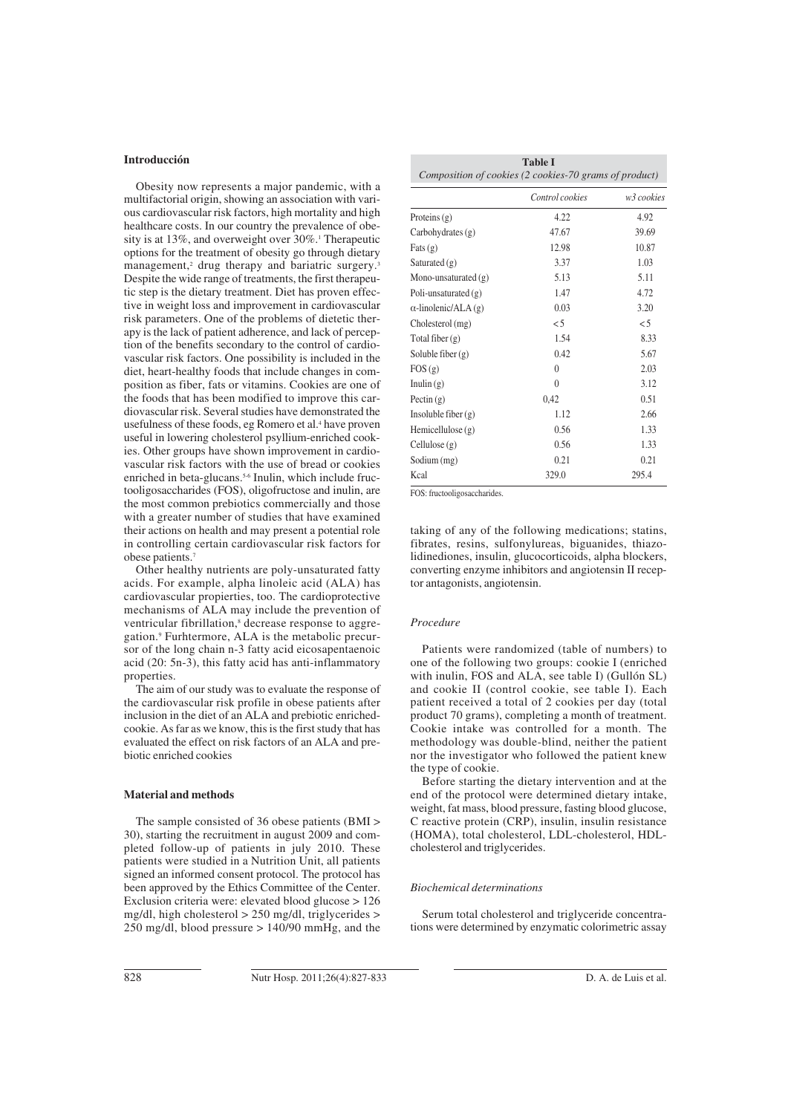## **Introducción**

Obesity now represents a major pandemic, with a multifactorial origin, showing an association with various cardiovascular risk factors, high mortality and high healthcare costs. In our country the prevalence of obesity is at 13%, and overweight over 30%.<sup>1</sup> Therapeutic options for the treatment of obesity go through dietary management,<sup>2</sup> drug therapy and bariatric surgery.<sup>3</sup> Despite the wide range of treatments, the first therapeutic step is the dietary treatment. Diet has proven effective in weight loss and improvement in cardiovascular risk parameters. One of the problems of dietetic therapy is the lack of patient adherence, and lack of perception of the benefits secondary to the control of cardiovascular risk factors. One possibility is included in the diet, heart-healthy foods that include changes in composition as fiber, fats or vitamins. Cookies are one of the foods that has been modified to improve this cardiovascular risk. Several studies have demonstrated the usefulness of these foods, eg Romero et al.<sup>4</sup> have proven useful in lowering cholesterol psyllium-enriched cookies. Other groups have shown improvement in cardiovascular risk factors with the use of bread or cookies enriched in beta-glucans.<sup>5-6</sup> Inulin, which include fructooligosaccharides (FOS), oligofructose and inulin, are the most common prebiotics commercially and those with a greater number of studies that have examined their actions on health and may present a potential role in controlling certain cardiovascular risk factors for obese patients.7

Other healthy nutrients are poly-unsaturated fatty acids. For example, alpha linoleic acid (ALA) has cardiovascular propierties, too. The cardioprotective mechanisms of ALA may include the prevention of ventricular fibrillation,<sup>8</sup> decrease response to aggregation.9 Furhtermore, ALA is the metabolic precursor of the long chain n-3 fatty acid eicosapentaenoic acid (20: 5n-3), this fatty acid has anti-inflammatory properties.

The aim of our study was to evaluate the response of the cardiovascular risk profile in obese patients after inclusion in the diet of an ALA and prebiotic enrichedcookie. As far as we know, this is the first study that has evaluated the effect on risk factors of an ALA and prebiotic enriched cookies

## **Material and methods**

The sample consisted of 36 obese patients (BMI > 30), starting the recruitment in august 2009 and completed follow-up of patients in july 2010. These patients were studied in a Nutrition Unit, all patients signed an informed consent protocol. The protocol has been approved by the Ethics Committee of the Center. Exclusion criteria were: elevated blood glucose > 126 mg/dl, high cholesterol > 250 mg/dl, triglycerides > 250 mg/dl, blood pressure > 140/90 mmHg, and the

| <b>Table I</b><br>Composition of cookies (2 cookies-70 grams of product) |                 |            |  |
|--------------------------------------------------------------------------|-----------------|------------|--|
|                                                                          | Control cookies | w3 cookies |  |
| Proteins $(g)$                                                           | 4.22            | 4.92       |  |
| $Carbo$ hydrates $(g)$                                                   | 47.67           | 39.69      |  |
| Fats $(g)$                                                               | 12.98           | 10.87      |  |
| Saturated $(g)$                                                          | 3.37            | 1.03       |  |
| Mono-unsaturated $(g)$                                                   | 5.13            | 5.11       |  |
| Poli-unsaturated $(g)$                                                   | 1.47            | 4.72       |  |
| $\alpha$ -linolenic/ALA (g)                                              | 0.03            | 3.20       |  |
| Cholesterol (mg)                                                         | $\leq 5$        | $\leq 5$   |  |
| Total fiber $(g)$                                                        | 1.54            | 8.33       |  |
| Soluble fiber $(g)$                                                      | 0.42            | 5.67       |  |
| FOS(g)                                                                   | $\theta$        | 2.03       |  |
| Inulin $(g)$                                                             | $\theta$        | 3.12       |  |
| Pectin $(g)$                                                             | 0.42            | 0.51       |  |
| Insoluble fiber $(g)$                                                    | 1.12            | 2.66       |  |
| Hemicellulose $(g)$                                                      | 0.56            | 1.33       |  |
| Cellulose(g)                                                             | 0.56            | 1.33       |  |
| Sodium (mg)                                                              | 0.21            | 0.21       |  |
| Kcal                                                                     | 329.0           | 295.4      |  |

FOS: fructooligosaccharides.

taking of any of the following medications; statins, fibrates, resins, sulfonylureas, biguanides, thiazolidinediones, insulin, glucocorticoids, alpha blockers, converting enzyme inhibitors and angiotensin II receptor antagonists, angiotensin.

#### *Procedure*

Patients were randomized (table of numbers) to one of the following two groups: cookie I (enriched with inulin, FOS and ALA, see table I) (Gullón SL) and cookie II (control cookie, see table I). Each patient received a total of 2 cookies per day (total product 70 grams), completing a month of treatment. Cookie intake was controlled for a month. The methodology was double-blind, neither the patient nor the investigator who followed the patient knew the type of cookie.

Before starting the dietary intervention and at the end of the protocol were determined dietary intake, weight, fat mass, blood pressure, fasting blood glucose, C reactive protein (CRP), insulin, insulin resistance (HOMA), total cholesterol, LDL-cholesterol, HDLcholesterol and triglycerides.

## *Biochemical determinations*

Serum total cholesterol and triglyceride concentrations were determined by enzymatic colorimetric assay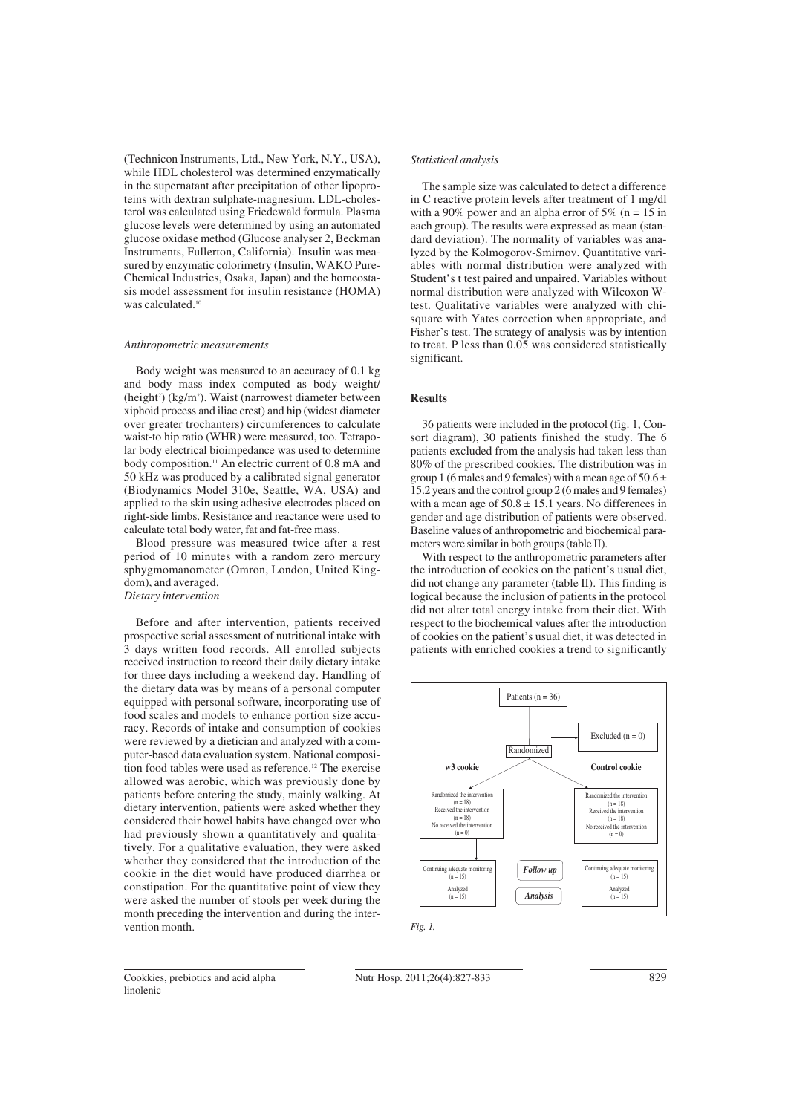(Technicon Instruments, Ltd., New York, N.Y., USA), while HDL cholesterol was determined enzymatically in the supernatant after precipitation of other lipoproteins with dextran sulphate-magnesium. LDL-cholesterol was calculated using Friedewald formula. Plasma glucose levels were determined by using an automated glucose oxidase method (Glucose analyser 2, Beckman Instruments, Fullerton, California). Insulin was measured by enzymatic colorimetry (Insulin, WAKO Pure-Chemical Industries, Osaka, Japan) and the homeostasis model assessment for insulin resistance (HOMA) was calculated.10

#### *Anthropometric measurements*

Body weight was measured to an accuracy of 0.1 kg and body mass index computed as body weight/ (height<sup>2</sup>) (kg/m<sup>2</sup>). Waist (narrowest diameter between xiphoid process and iliac crest) and hip (widest diameter over greater trochanters) circumferences to calculate waist-to hip ratio (WHR) were measured, too. Tetrapolar body electrical bioimpedance was used to determine body composition.<sup>11</sup> An electric current of 0.8 mA and 50 kHz was produced by a calibrated signal generator (Biodynamics Model 310e, Seattle, WA, USA) and applied to the skin using adhesive electrodes placed on right-side limbs. Resistance and reactance were used to calculate total body water, fat and fat-free mass.

Blood pressure was measured twice after a rest period of 10 minutes with a random zero mercury sphygmomanometer (Omron, London, United Kingdom), and averaged. *Dietary intervention*

Before and after intervention, patients received prospective serial assessment of nutritional intake with 3 days written food records. All enrolled subjects received instruction to record their daily dietary intake for three days including a weekend day. Handling of the dietary data was by means of a personal computer equipped with personal software, incorporating use of food scales and models to enhance portion size accuracy. Records of intake and consumption of cookies were reviewed by a dietician and analyzed with a computer-based data evaluation system. National composition food tables were used as reference.12 The exercise allowed was aerobic, which was previously done by patients before entering the study, mainly walking. At dietary intervention, patients were asked whether they considered their bowel habits have changed over who had previously shown a quantitatively and qualitatively. For a qualitative evaluation, they were asked whether they considered that the introduction of the cookie in the diet would have produced diarrhea or constipation. For the quantitative point of view they were asked the number of stools per week during the month preceding the intervention and during the intervention month.

### *Statistical analysis*

The sample size was calculated to detect a difference in C reactive protein levels after treatment of 1 mg/dl with a 90% power and an alpha error of 5% (n =  $15 \text{ in}$ ) each group). The results were expressed as mean (standard deviation). The normality of variables was analyzed by the Kolmogorov-Smirnov. Quantitative variables with normal distribution were analyzed with Student's t test paired and unpaired. Variables without normal distribution were analyzed with Wilcoxon Wtest. Qualitative variables were analyzed with chisquare with Yates correction when appropriate, and Fisher's test. The strategy of analysis was by intention to treat. P less than 0.05 was considered statistically significant.

## **Results**

36 patients were included in the protocol (fig. 1, Consort diagram), 30 patients finished the study. The 6 patients excluded from the analysis had taken less than 80% of the prescribed cookies. The distribution was in group 1 (6 males and 9 females) with a mean age of  $50.6 \pm$ 15.2 years and the control group 2 (6 males and 9 females) with a mean age of  $50.8 \pm 15.1$  years. No differences in gender and age distribution of patients were observed. Baseline values of anthropometric and biochemical parameters were similar in both groups (table II).

With respect to the anthropometric parameters after the introduction of cookies on the patient's usual diet, did not change any parameter (table II). This finding is logical because the inclusion of patients in the protocol did not alter total energy intake from their diet. With respect to the biochemical values after the introduction of cookies on the patient's usual diet, it was detected in patients with enriched cookies a trend to significantly



Cookkies, prebiotics and acid alpha linolenic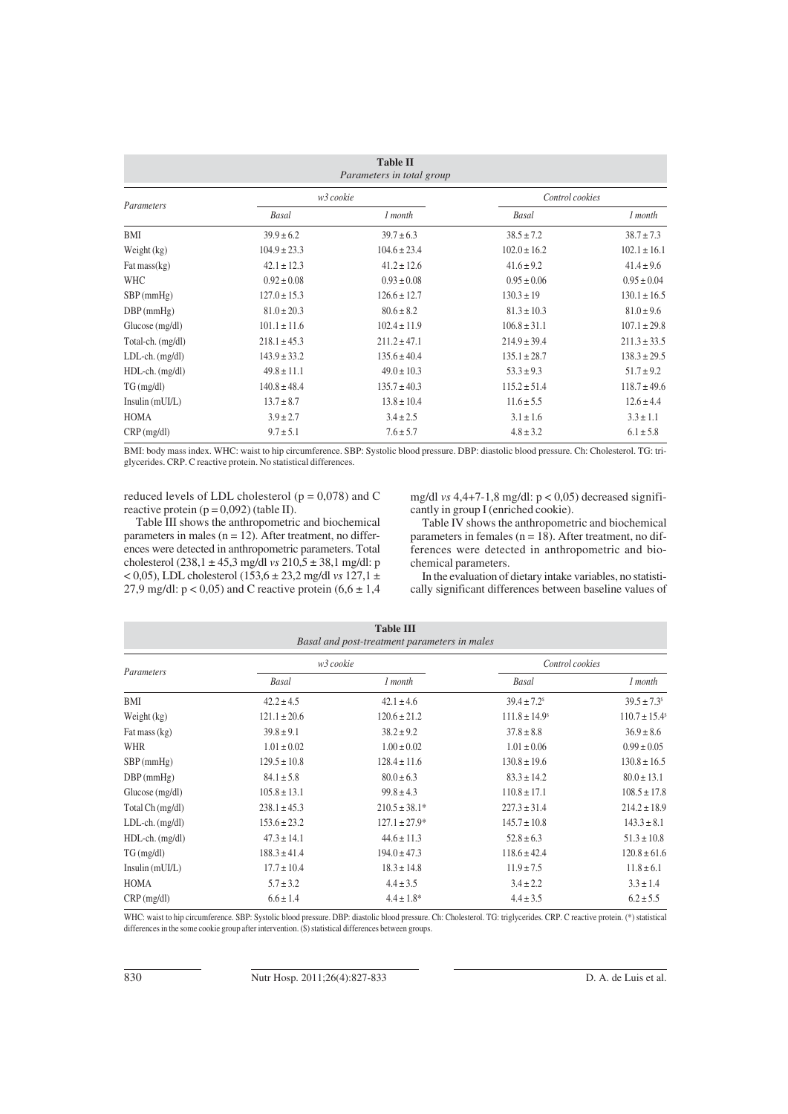| <b>Table II</b><br>Parameters in total group |                  |                  |                  |                  |
|----------------------------------------------|------------------|------------------|------------------|------------------|
| Parameters                                   | w3 cookie        |                  | Control cookies  |                  |
|                                              | Basal            | 1 month          | Basal            | 1 month          |
| BMI                                          | $39.9 \pm 6.2$   | $39.7 \pm 6.3$   | $38.5 \pm 7.2$   | $38.7 \pm 7.3$   |
| Weight (kg)                                  | $104.9 \pm 23.3$ | $104.6 \pm 23.4$ | $102.0 \pm 16.2$ | $102.1 \pm 16.1$ |
| Fat $mass(kg)$                               | $42.1 \pm 12.3$  | $41.2 \pm 12.6$  | $41.6 \pm 9.2$   | $41.4 \pm 9.6$   |
| <b>WHC</b>                                   | $0.92 \pm 0.08$  | $0.93 \pm 0.08$  | $0.95 \pm 0.06$  | $0.95 \pm 0.04$  |
| $SBP$ (mmHg)                                 | $127.0 \pm 15.3$ | $126.6 \pm 12.7$ | $130.3 \pm 19$   | $130.1 \pm 16.5$ |
| $DBP$ (mmHg)                                 | $81.0 \pm 20.3$  | $80.6 \pm 8.2$   | $81.3 \pm 10.3$  | $81.0 \pm 9.6$   |
| Glucose(mg/dl)                               | $101.1 \pm 11.6$ | $102.4 \pm 11.9$ | $106.8 \pm 31.1$ | $107.1 \pm 29.8$ |
| Total-ch. (mg/dl)                            | $218.1 \pm 45.3$ | $211.2 \pm 47.1$ | $214.9 \pm 39.4$ | $211.3 \pm 33.5$ |
| $LDL-ch.$ $(mg/dl)$                          | $143.9 \pm 33.2$ | $135.6 \pm 40.4$ | $135.1 \pm 28.7$ | $138.3 \pm 29.5$ |
| $HDL-ch.$ $(mg/dl)$                          | $49.8 \pm 11.1$  | $49.0 \pm 10.3$  | $53.3 \pm 9.3$   | $51.7 \pm 9.2$   |
| $TG$ (mg/dl)                                 | $140.8 \pm 48.4$ | $135.7 \pm 40.3$ | $115.2 \pm 51.4$ | $118.7 \pm 49.6$ |
| Insulin (mUI/L)                              | $13.7 \pm 8.7$   | $13.8 \pm 10.4$  | $11.6 \pm 5.5$   | $12.6 \pm 4.4$   |
| <b>HOMA</b>                                  | $3.9 \pm 2.7$    | $3.4 \pm 2.5$    | $3.1 \pm 1.6$    | $3.3 \pm 1.1$    |
| CRP(mg/dl)                                   | $9.7 \pm 5.1$    | $7.6 \pm 5.7$    | $4.8 \pm 3.2$    | $6.1 \pm 5.8$    |

BMI: body mass index. WHC: waist to hip circumference. SBP: Systolic blood pressure. DBP: diastolic blood pressure. Ch: Cholesterol. TG: triglycerides. CRP. C reactive protein. No statistical differences.

reduced levels of LDL cholesterol ( $p = 0.078$ ) and C reactive protein  $(p = 0.092)$  (table II).

mg/dl *vs* 4,4+7-1,8 mg/dl: p < 0,05) decreased significantly in group I (enriched cookie).

Table III shows the anthropometric and biochemical parameters in males  $(n = 12)$ . After treatment, no differences were detected in anthropometric parameters. Total cholesterol (238,1 ± 45,3 mg/dl *vs* 210,5 ± 38,1 mg/dl: p  $< 0.05$ ), LDL cholesterol (153,6  $\pm$  23,2 mg/dl *vs* 127,1  $\pm$ 27,9 mg/dl:  $p < 0.05$ ) and C reactive protein  $(6.6 \pm 1.4)$ 

Table IV shows the anthropometric and biochemical parameters in females ( $n = 18$ ). After treatment, no differences were detected in anthropometric and biochemical parameters.

In the evaluation of dietary intake variables, no statistically significant differences between baseline values of

| <b>Table III</b><br>Basal and post-treatment parameters in males |                  |                   |                               |                             |
|------------------------------------------------------------------|------------------|-------------------|-------------------------------|-----------------------------|
| Parameters                                                       | w3 cookie        |                   | Control cookies               |                             |
|                                                                  | Basal            | 1 month           | Basal                         | 1 month                     |
| BMI                                                              | $42.2 \pm 4.5$   | $42.1 \pm 4.6$    | $39.4 \pm 7.2$ <sup>s</sup>   | $39.5 \pm 7.3$ <sup>s</sup> |
| Weight (kg)                                                      | $121.1 \pm 20.6$ | $120.6 \pm 21.2$  | $111.8 \pm 14.9$ <sup>s</sup> | $110.7 \pm 15.4^s$          |
| Fat mass (kg)                                                    | $39.8 \pm 9.1$   | $38.2 \pm 9.2$    | $37.8 \pm 8.8$                | $36.9 \pm 8.6$              |
| WHR                                                              | $1.01 \pm 0.02$  | $1.00 \pm 0.02$   | $1.01 \pm 0.06$               | $0.99 \pm 0.05$             |
| $SBP$ (mmHg)                                                     | $129.5 \pm 10.8$ | $128.4 \pm 11.6$  | $130.8 \pm 19.6$              | $130.8 \pm 16.5$            |
| $DBP$ (mmHg)                                                     | $84.1 \pm 5.8$   | $80.0 \pm 6.3$    | $83.3 \pm 14.2$               | $80.0 \pm 13.1$             |
| Glucose $(mg/dl)$                                                | $105.8 \pm 13.1$ | $99.8 \pm 4.3$    | $110.8 \pm 17.1$              | $108.5 \pm 17.8$            |
| Total Ch (mg/dl)                                                 | $238.1 \pm 45.3$ | $210.5 \pm 38.1*$ | $227.3 \pm 31.4$              | $214.2 \pm 18.9$            |
| $LDL-ch.$ $(mg/dl)$                                              | $153.6 \pm 23.2$ | $127.1 \pm 27.9*$ | $145.7 \pm 10.8$              | $143.3 \pm 8.1$             |
| $HDL-ch.$ $(mg/dl)$                                              | $47.3 \pm 14.1$  | $44.6 \pm 11.3$   | $52.8 \pm 6.3$                | $51.3 \pm 10.8$             |
| $TG$ (mg/dl)                                                     | $188.3 \pm 41.4$ | $194.0 \pm 47.3$  | $118.6 \pm 42.4$              | $120.8 \pm 61.6$            |
| Insulin $(mUI/L)$                                                | $17.7 \pm 10.4$  | $18.3 \pm 14.8$   | $11.9 \pm 7.5$                | $11.8 \pm 6.1$              |
| <b>HOMA</b>                                                      | $5.7 \pm 3.2$    | $4.4 \pm 3.5$     | $3.4 \pm 2.2$                 | $3.3 \pm 1.4$               |
| CRP(mg/dl)                                                       | $6.6 \pm 1.4$    | $4.4 \pm 1.8^*$   | $4.4 \pm 3.5$                 | $6.2 \pm 5.5$               |

WHC: waist to hip circumference. SBP: Systolic blood pressure. DBP: diastolic blood pressure. Ch: Cholesterol. TG: triglycerides. CRP. C reactive protein. (\*) statistical differences in the some cookie group after intervention. (\$) statistical differences between groups.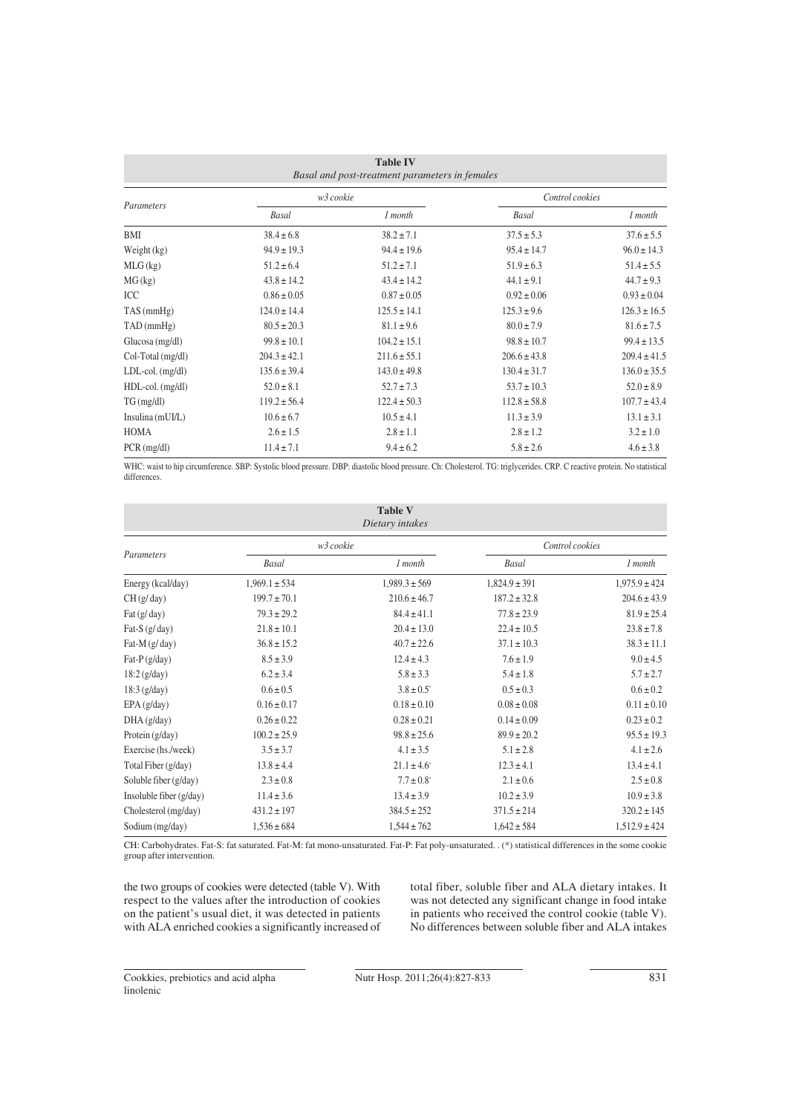| <b>Table IV</b><br>Basal and post-treatment parameters in females |                  |                  |                  |                  |
|-------------------------------------------------------------------|------------------|------------------|------------------|------------------|
| Parameters                                                        | w3 cookie        |                  | Control cookies  |                  |
|                                                                   | Basal            | 1 month          | Basal            | 1 month          |
| BMI                                                               | $38.4 \pm 6.8$   | $38.2 \pm 7.1$   | $37.5 \pm 5.3$   | $37.6 \pm 5.5$   |
| Weight (kg)                                                       | $94.9 \pm 19.3$  | $94.4 \pm 19.6$  | $95.4 \pm 14.7$  | $96.0 \pm 14.3$  |
| $MLG$ (kg)                                                        | $51.2 \pm 6.4$   | $51.2 \pm 7.1$   | $51.9 \pm 6.3$   | $51.4 \pm 5.5$   |
| MG (kg)                                                           | $43.8 \pm 14.2$  | $43.4 \pm 14.2$  | $44.1 \pm 9.1$   | $44.7 \pm 9.3$   |
| ICC                                                               | $0.86 \pm 0.05$  | $0.87 \pm 0.05$  | $0.92 \pm 0.06$  | $0.93 \pm 0.04$  |
| $TAS$ (mmHg)                                                      | $124.0 \pm 14.4$ | $125.5 \pm 14.1$ | $125.3 \pm 9.6$  | $126.3 \pm 16.5$ |
| $TAD$ (mm $Hg$ )                                                  | $80.5 \pm 20.3$  | $81.1 \pm 9.6$   | $80.0 \pm 7.9$   | $81.6 \pm 7.5$   |
| Glucosa $(mg/dl)$                                                 | $99.8 \pm 10.1$  | $104.2 \pm 15.1$ | $98.8 \pm 10.7$  | $99.4 \pm 13.5$  |
| Col-Total (mg/dl)                                                 | $204.3 \pm 42.1$ | $211.6 \pm 55.1$ | $206.6 \pm 43.8$ | $209.4 \pm 41.5$ |
| $LDL$ -col. $(mg/dl)$                                             | $135.6 \pm 39.4$ | $143.0 \pm 49.8$ | $130.4 \pm 31.7$ | $136.0 \pm 35.5$ |
| $HDL$ -col. $(mg/dl)$                                             | $52.0 \pm 8.1$   | $52.7 \pm 7.3$   | $53.7 \pm 10.3$  | $52.0 \pm 8.9$   |
| $TG \left(\frac{mg}{dl}\right)$                                   | $119.2 \pm 56.4$ | $122.4 \pm 50.3$ | $112.8 \pm 58.8$ | $107.7 \pm 43.4$ |
| Insulina (mUI/L)                                                  | $10.6 \pm 6.7$   | $10.5 \pm 4.1$   | $11.3 \pm 3.9$   | $13.1 \pm 3.1$   |
| <b>HOMA</b>                                                       | $2.6 \pm 1.5$    | $2.8 \pm 1.1$    | $2.8 \pm 1.2$    | $3.2 \pm 1.0$    |
| $PCR \left(mg/dl\right)$                                          | $11.4 \pm 7.1$   | $9.4 \pm 6.2$    | $5.8 \pm 2.6$    | $4.6 \pm 3.8$    |

WHC: waist to hip circumference. SBP: Systolic blood pressure. DBP: diastolic blood pressure. Ch: Cholesterol. TG: triglycerides. CRP. C reactive protein. No statistical differences.

| <b>Table V</b><br>Dietary intakes |                   |                        |                   |                   |
|-----------------------------------|-------------------|------------------------|-------------------|-------------------|
| Parameters                        | w3 cookie         |                        | Control cookies   |                   |
|                                   | Basal             | 1 month                | Basal             | 1 month           |
| Energy (kcal/day)                 | $1,969.1 \pm 534$ | $1,989.3 \pm 569$      | $1,824.9 \pm 391$ | $1,975.9 \pm 424$ |
| CH(g/day)                         | $199.7 \pm 70.1$  | $210.6 \pm 46.7$       | $187.2 \pm 32.8$  | $204.6 \pm 43.9$  |
| Fat $(g / day)$                   | $79.3 \pm 29.2$   | $84.4 \pm 41.1$        | $77.8 \pm 23.9$   | $81.9 \pm 25.4$   |
| Fat-S $(g/day)$                   | $21.8 \pm 10.1$   | $20.4 \pm 13.0$        | $22.4 \pm 10.5$   | $23.8 \pm 7.8$    |
| Fat-M $(g/day)$                   | $36.8 \pm 15.2$   | $40.7 \pm 22.6$        | $37.1 \pm 10.3$   | $38.3 \pm 11.1$   |
| Fat-P $(g/day)$                   | $8.5 \pm 3.9$     | $12.4 \pm 4.3$         | $7.6 \pm 1.9$     | $9.0 \pm 4.5$     |
| 18:2 (g/day)                      | $6.2 \pm 3.4$     | $5.8 \pm 3.3$          | $5.4 \pm 1.8$     | $5.7 \pm 2.7$     |
| 18:3 (g/day)                      | $0.6 \pm 0.5$     | $3.8 \pm 0.5^{\circ}$  | $0.5 \pm 0.3$     | $0.6 \pm 0.2$     |
| EPA(g/day)                        | $0.16 \pm 0.17$   | $0.18 \pm 0.10$        | $0.08 \pm 0.08$   | $0.11 \pm 0.10$   |
| DHA(g/day)                        | $0.26 \pm 0.22$   | $0.28 \pm 0.21$        | $0.14 \pm 0.09$   | $0.23 \pm 0.2$    |
| Protein (g/day)                   | $100.2 \pm 25.9$  | $98.8 \pm 25.6$        | $89.9 \pm 20.2$   | $95.5 \pm 19.3$   |
| Exercise (hs./week)               | $3.5 \pm 3.7$     | $4.1 \pm 3.5$          | $5.1 \pm 2.8$     | $4.1 \pm 2.6$     |
| Total Fiber (g/day)               | $13.8 \pm 4.4$    | $21.1 \pm 4.6^{\circ}$ | $12.3 \pm 4.1$    | $13.4 \pm 4.1$    |
| Soluble fiber (g/day)             | $2.3 \pm 0.8$     | $7.7 \pm 0.8$          | $2.1 \pm 0.6$     | $2.5 \pm 0.8$     |
| Insoluble fiber (g/day)           | $11.4 \pm 3.6$    | $13.4 \pm 3.9$         | $10.2 \pm 3.9$    | $10.9 \pm 3.8$    |
| Cholesterol (mg/day)              | $431.2 \pm 197$   | $384.5 \pm 252$        | $371.5 \pm 214$   | $320.2 \pm 145$   |
| Sodium (mg/day)                   | $1,536 \pm 684$   | $1,544 \pm 762$        | $1,642 \pm 584$   | $1,512.9 \pm 424$ |

CH: Carbohydrates. Fat-S: fat saturated. Fat-M: fat mono-unsaturated. Fat-P: Fat poly-unsaturated. . (\*) statistical differences in the some cookie group after intervention.

the two groups of cookies were detected (table V). With respect to the values after the introduction of cookies on the patient's usual diet, it was detected in patients with ALA enriched cookies a significantly increased of total fiber, soluble fiber and ALA dietary intakes. It was not detected any significant change in food intake in patients who received the control cookie (table V). No differences between soluble fiber and ALA intakes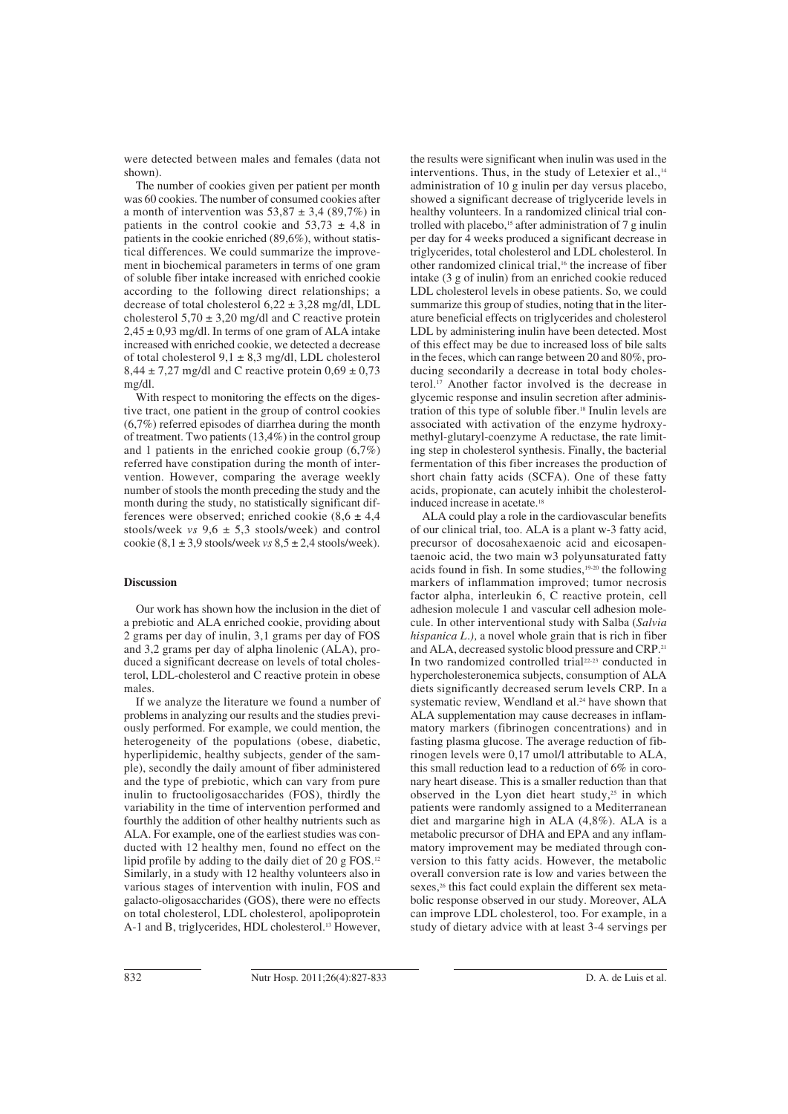were detected between males and females (data not shown).

The number of cookies given per patient per month was 60 cookies. The number of consumed cookies after a month of intervention was  $53.87 \pm 3.4$  (89.7%) in patients in the control cookie and  $53,73 \pm 4,8$  in patients in the cookie enriched (89,6%), without statistical differences. We could summarize the improvement in biochemical parameters in terms of one gram of soluble fiber intake increased with enriched cookie according to the following direct relationships; a decrease of total cholesterol  $6,22 \pm 3,28$  mg/dl, LDL cholesterol  $5,70 \pm 3,20$  mg/dl and C reactive protein  $2,45 \pm 0.93$  mg/dl. In terms of one gram of ALA intake increased with enriched cookie, we detected a decrease of total cholesterol  $9.1 \pm 8.3$  mg/dl, LDL cholesterol  $8,44 \pm 7,27$  mg/dl and C reactive protein  $0.69 \pm 0.73$ mg/dl.

With respect to monitoring the effects on the digestive tract, one patient in the group of control cookies (6,7%) referred episodes of diarrhea during the month of treatment. Two patients (13,4%) in the control group and 1 patients in the enriched cookie group (6,7%) referred have constipation during the month of intervention. However, comparing the average weekly number of stools the month preceding the study and the month during the study, no statistically significant differences were observed; enriched cookie  $(8.6 \pm 4.4)$ stools/week *vs* 9,6 ± 5,3 stools/week) and control cookie (8,1 ± 3,9 stools/week *vs* 8,5 ± 2,4 stools/week).

## **Discussion**

Our work has shown how the inclusion in the diet of a prebiotic and ALA enriched cookie, providing about 2 grams per day of inulin, 3,1 grams per day of FOS and 3,2 grams per day of alpha linolenic (ALA), produced a significant decrease on levels of total cholesterol, LDL-cholesterol and C reactive protein in obese males.

If we analyze the literature we found a number of problems in analyzing our results and the studies previously performed. For example, we could mention, the heterogeneity of the populations (obese, diabetic, hyperlipidemic, healthy subjects, gender of the sample), secondly the daily amount of fiber administered and the type of prebiotic, which can vary from pure inulin to fructooligosaccharides (FOS), thirdly the variability in the time of intervention performed and fourthly the addition of other healthy nutrients such as ALA. For example, one of the earliest studies was conducted with 12 healthy men, found no effect on the lipid profile by adding to the daily diet of 20 g FOS.<sup>12</sup> Similarly, in a study with 12 healthy volunteers also in various stages of intervention with inulin, FOS and galacto-oligosaccharides (GOS), there were no effects on total cholesterol, LDL cholesterol, apolipoprotein A-1 and B, triglycerides, HDL cholesterol.<sup>13</sup> However, the results were significant when inulin was used in the interventions. Thus, in the study of Letexier et al.,<sup>14</sup> administration of 10 g inulin per day versus placebo, showed a significant decrease of triglyceride levels in healthy volunteers. In a randomized clinical trial controlled with placebo,<sup>15</sup> after administration of  $7 \text{ g}$  inulin per day for 4 weeks produced a significant decrease in triglycerides, total cholesterol and LDL cholesterol. In other randomized clinical trial,<sup>16</sup> the increase of fiber intake (3 g of inulin) from an enriched cookie reduced LDL cholesterol levels in obese patients. So, we could summarize this group of studies, noting that in the literature beneficial effects on triglycerides and cholesterol LDL by administering inulin have been detected. Most of this effect may be due to increased loss of bile salts in the feces, which can range between 20 and 80%, producing secondarily a decrease in total body cholesterol.17 Another factor involved is the decrease in glycemic response and insulin secretion after administration of this type of soluble fiber.18 Inulin levels are associated with activation of the enzyme hydroxymethyl-glutaryl-coenzyme A reductase, the rate limiting step in cholesterol synthesis. Finally, the bacterial fermentation of this fiber increases the production of short chain fatty acids (SCFA). One of these fatty acids, propionate, can acutely inhibit the cholesterolinduced increase in acetate.<sup>18</sup>

ALA could play a role in the cardiovascular benefits of our clinical trial, too. ALA is a plant w-3 fatty acid, precursor of docosahexaenoic acid and eicosapentaenoic acid, the two main w3 polyunsaturated fatty acids found in fish. In some studies,19-20 the following markers of inflammation improved; tumor necrosis factor alpha, interleukin 6, C reactive protein, cell adhesion molecule 1 and vascular cell adhesion molecule. In other interventional study with Salba (*Salvia hispanica L.),* a novel whole grain that is rich in fiber and ALA, decreased systolic blood pressure and CRP.21 In two randomized controlled trial<sup>22-23</sup> conducted in hypercholesteronemica subjects, consumption of ALA diets significantly decreased serum levels CRP. In a systematic review, Wendland et al.<sup>24</sup> have shown that ALA supplementation may cause decreases in inflammatory markers (fibrinogen concentrations) and in fasting plasma glucose. The average reduction of fibrinogen levels were 0,17 umol/l attributable to ALA, this small reduction lead to a reduction of 6% in coronary heart disease. This is a smaller reduction than that observed in the Lyon diet heart study, $25$  in which patients were randomly assigned to a Mediterranean diet and margarine high in ALA (4,8%). ALA is a metabolic precursor of DHA and EPA and any inflammatory improvement may be mediated through conversion to this fatty acids. However, the metabolic overall conversion rate is low and varies between the sexes,<sup>26</sup> this fact could explain the different sex metabolic response observed in our study. Moreover, ALA can improve LDL cholesterol, too. For example, in a study of dietary advice with at least 3-4 servings per